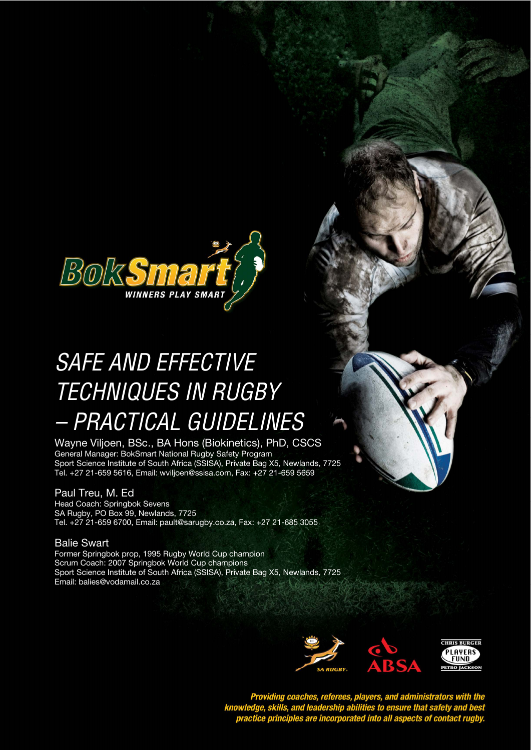

# SAFE AND EFFECTIVE  $\sim$   $\sim$   $\sim$   $\sim$   $\sim$   $\sim$  $-$  PRACTICAL GUIDELINES TECHNIQUES IN RUGBY

 Wayne Viljoen, BSc., BA Hons (Biokinetics), PhD, CSCS General Manager: BokSmart National Rugby Safety Program Sport Science Institute of South Africa (SSISA), Private Bag X5, Newlands, 7725 Tel. +27 21-659 5616, Email: wviljoen@ssisa.com, Fax: +27 21-659 5659

# Paul Treu, M. Ed

Head Coach: Springbok Sevens SA Rugby, PO Box 99, Newlands, 7725 Tel. +27 21-659 6700, Email: pault@sarugby.co.za, Fax: +27 21-685 3055

# Balie Swart

Former Springbok prop, 1995 Rugby World Cup champion Scrum Coach: 2007 Springbok World Cup champions Sport Science Institute of South Africa (SSISA), Private Bag X5, Newlands, 7725 Email: balies@vodamail.co.za



Providing coaches, referees, players, and administrators with the<br>knowledge, skills, and leadership abilities to ensure that safety and best<br>practice principles are incorporated into all aspects of contact rugby.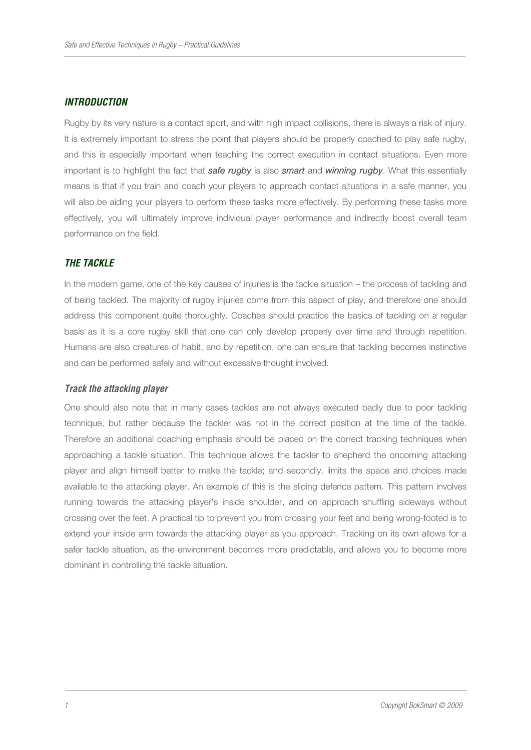## **INTRODUCTION**

Rugby by its very nature is a contact sport, and with high impact collisions, there is always a risk of injury. It is extremely important to stress the point that players should be properly coached to play safe rugby, and this is especially important when teaching the correct execution in contact situations. Even more important is to highlight the fact that safe rugby is also smart and winning rugby. What this essentially means is that if you train and coach your players to approach contact situations in a safe manner, you will also be aiding your players to perform these tasks more effectively. By performing these tasks more effectively, you will ultimately improve individual player performance and indirectly boost overall team performance on the field.

# **THE TACKLE**

In the modern game, one of the key causes of injuries is the tackle situation – the process of tackling and of being tackled. The majority of rugby injuries come from this aspect of play, and therefore one should address this component quite thoroughly. Coaches should practice the basics of tackling on a regular basis as it is a core rugby skill that one can only develop properly over time and through repetition. Humans are also creatures of habit, and by repetition, one can ensure that tackling becomes instinctive and can be performed safely and without excessive thought involved.

#### **Track the attacking player**

One should also note that in many cases tackles are not always executed badly due to poor tackling technique, but rather because the tackler was not in the correct position at the time of the tackle. Therefore an additional coaching emphasis should be placed on the correct tracking techniques when approaching a tackle situation. This technique allows the tackler to shepherd the oncoming attacking player and align himself better to make the tackle; and secondly, limits the space and choices made available to the attacking player. An example of this is the sliding defence pattern. This pattern involves running towards the attacking player's inside shoulder, and on approach shuffling sideways without crossing over the feet. A practical tip to prevent you from crossing your feet and being wrong-footed is to extend your inside arm towards the attacking player as you approach. Tracking on its own allows for a safer tackle situation, as the environment becomes more predictable, and allows you to become more dominant in controlling the tackle situation.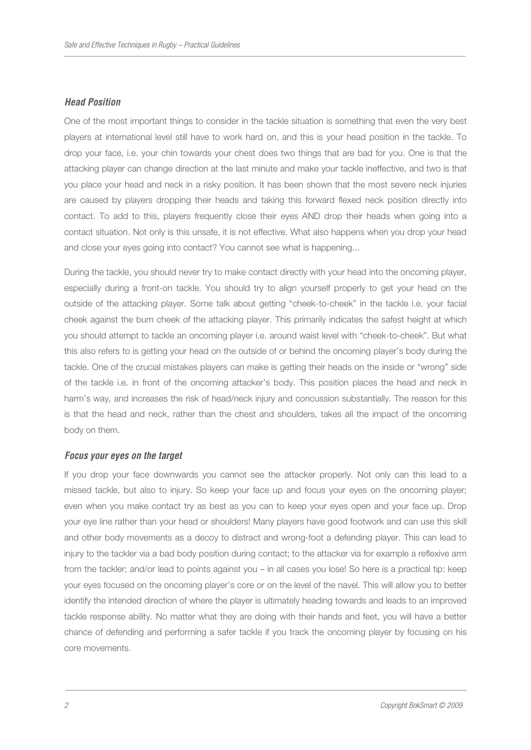#### **Head Position**

One of the most important things to consider in the tackle situation is something that even the very best players at international level still have to work hard on, and this is your head position in the tackle. To drop your face, i.e. your chin towards your chest does two things that are bad for you. One is that the attacking player can change direction at the last minute and make your tackle ineffective, and two is that you place your head and neck in a risky position. It has been shown that the most severe neck injuries are caused by players dropping their heads and taking this forward flexed neck position directly into contact. To add to this, players frequently close their eyes AND drop their heads when going into a contact situation. Not only is this unsafe, it is not effective. What also happens when you drop your head and close your eyes going into contact? You cannot see what is happening...

During the tackle, you should never try to make contact directly with your head into the oncoming player, especially during a front-on tackle. You should try to align yourself properly to get your head on the outside of the attacking player. Some talk about getting "cheek-to-cheek" in the tackle i.e. your facial cheek against the bum cheek of the attacking player. This primarily indicates the safest height at which you should attempt to tackle an oncoming player i.e. around waist level with "cheek-to-cheek". But what this also refers to is getting your head on the outside of or behind the oncoming player's body during the tackle. One of the crucial mistakes players can make is getting their heads on the inside or "wrong" side of the tackle i.e. in front of the oncoming attacker's body. This position places the head and neck in harm's way, and increases the risk of head/neck injury and concussion substantially. The reason for this is that the head and neck, rather than the chest and shoulders, takes all the impact of the oncoming body on them.

#### **Focus your eyes on the target**

If you drop your face downwards you cannot see the attacker properly. Not only can this lead to a missed tackle, but also to injury. So keep your face up and focus your eyes on the oncoming player; even when you make contact try as best as you can to keep your eyes open and your face up. Drop your eye line rather than your head or shoulders! Many players have good footwork and can use this skill and other body movements as a decoy to distract and wrong-foot a defending player. This can lead to injury to the tackler via a bad body position during contact; to the attacker via for example a reflexive arm from the tackler; and/or lead to points against you – in all cases you lose! So here is a practical tip: keep your eyes focused on the oncoming player's core or on the level of the navel. This will allow you to better identify the intended direction of where the player is ultimately heading towards and leads to an improved tackle response ability. No matter what they are doing with their hands and feet, you will have a better chance of defending and performing a safer tackle if you track the oncoming player by focusing on his core movements.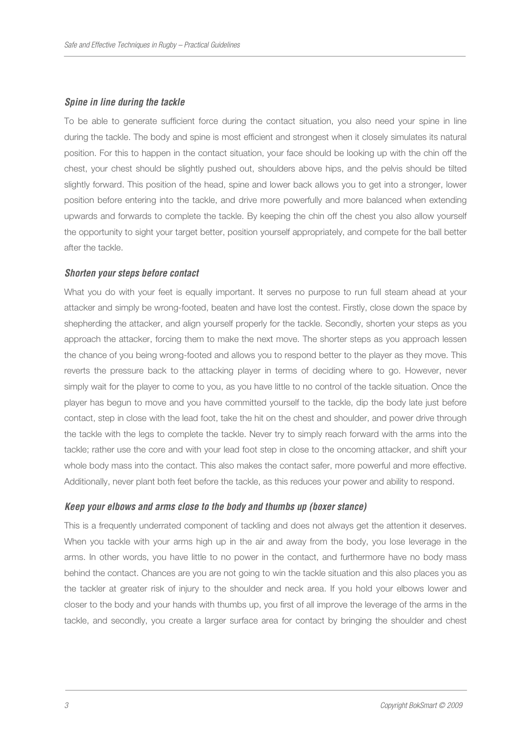#### **Spine in line during the tackle**

To be able to generate sufficient force during the contact situation, you also need your spine in line during the tackle. The body and spine is most efficient and strongest when it closely simulates its natural position. For this to happen in the contact situation, your face should be looking up with the chin off the chest, your chest should be slightly pushed out, shoulders above hips, and the pelvis should be tilted slightly forward. This position of the head, spine and lower back allows you to get into a stronger, lower position before entering into the tackle, and drive more powerfully and more balanced when extending upwards and forwards to complete the tackle. By keeping the chin off the chest you also allow yourself the opportunity to sight your target better, position yourself appropriately, and compete for the ball better after the tackle.

#### **Shorten your steps before contact**

What you do with your feet is equally important. It serves no purpose to run full steam ahead at your attacker and simply be wrong-footed, beaten and have lost the contest. Firstly, close down the space by shepherding the attacker, and align yourself properly for the tackle. Secondly, shorten your steps as you approach the attacker, forcing them to make the next move. The shorter steps as you approach lessen the chance of you being wrong-footed and allows you to respond better to the player as they move. This reverts the pressure back to the attacking player in terms of deciding where to go. However, never simply wait for the player to come to you, as you have little to no control of the tackle situation. Once the player has begun to move and you have committed yourself to the tackle, dip the body late just before contact, step in close with the lead foot, take the hit on the chest and shoulder, and power drive through the tackle with the legs to complete the tackle. Never try to simply reach forward with the arms into the tackle; rather use the core and with your lead foot step in close to the oncoming attacker, and shift your whole body mass into the contact. This also makes the contact safer, more powerful and more effective. Additionally, never plant both feet before the tackle, as this reduces your power and ability to respond.

#### **Keep your elbows and arms close to the body and thumbs up (boxer stance)**

This is a frequently underrated component of tackling and does not always get the attention it deserves. When you tackle with your arms high up in the air and away from the body, you lose leverage in the arms. In other words, you have little to no power in the contact, and furthermore have no body mass behind the contact. Chances are you are not going to win the tackle situation and this also places you as the tackler at greater risk of injury to the shoulder and neck area. If you hold your elbows lower and closer to the body and your hands with thumbs up, you first of all improve the leverage of the arms in the tackle, and secondly, you create a larger surface area for contact by bringing the shoulder and chest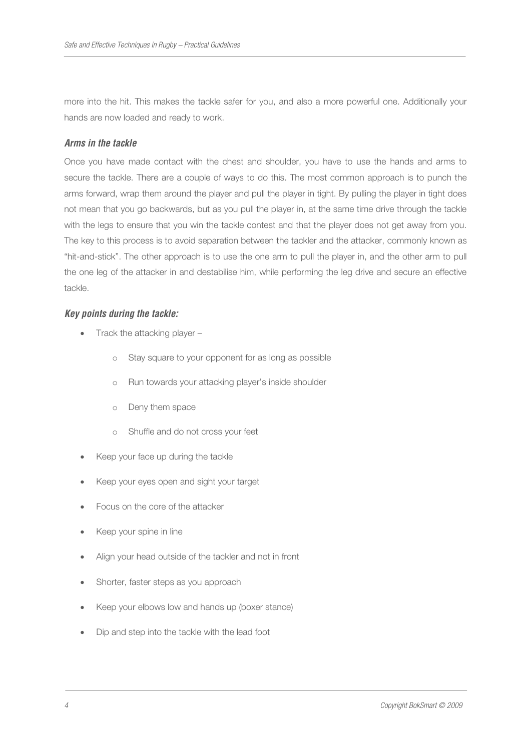more into the hit. This makes the tackle safer for you, and also a more powerful one. Additionally your hands are now loaded and ready to work.

## **Arms in the tackle**

Once you have made contact with the chest and shoulder, you have to use the hands and arms to secure the tackle. There are a couple of ways to do this. The most common approach is to punch the arms forward, wrap them around the player and pull the player in tight. By pulling the player in tight does not mean that you go backwards, but as you pull the player in, at the same time drive through the tackle with the legs to ensure that you win the tackle contest and that the player does not get away from you. The key to this process is to avoid separation between the tackler and the attacker, commonly known as "hit-and-stick". The other approach is to use the one arm to pull the player in, and the other arm to pull the one leg of the attacker in and destabilise him, while performing the leg drive and secure an effective tackle.

#### **Key points during the tackle:**

- Track the attacking player
	- o Stay square to your opponent for as long as possible
	- o Run towards your attacking player's inside shoulder
	- o Deny them space
	- o Shuffle and do not cross your feet
- Keep your face up during the tackle
- Keep your eyes open and sight your target
- Focus on the core of the attacker
- Keep your spine in line
- Align your head outside of the tackler and not in front
- Shorter, faster steps as you approach
- Keep your elbows low and hands up (boxer stance)
- Dip and step into the tackle with the lead foot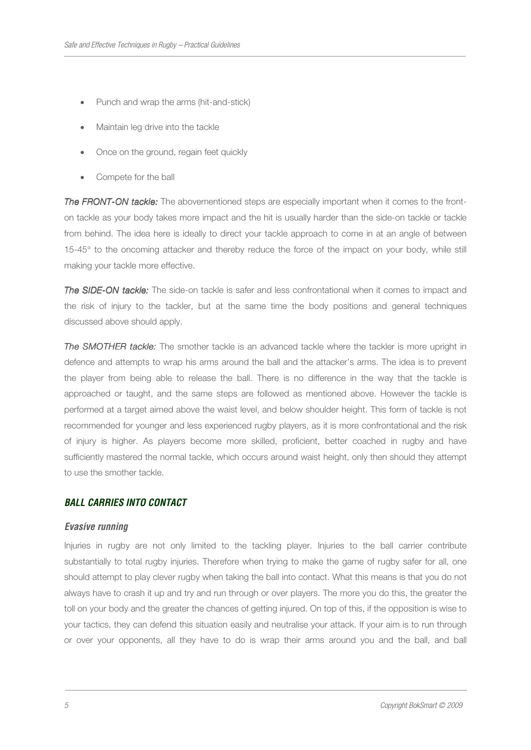- Punch and wrap the arms (hit-and-stick)
- Maintain leg drive into the tackle
- Once on the ground, regain feet quickly
- Compete for the ball

The FRONT-ON tackle: The abovementioned steps are especially important when it comes to the fronton tackle as your body takes more impact and the hit is usually harder than the side-on tackle or tackle from behind. The idea here is ideally to direct your tackle approach to come in at an angle of between 15-45° to the oncoming attacker and thereby reduce the force of the impact on your body, while still making your tackle more effective.

The SIDE-ON tackle: The side-on tackle is safer and less confrontational when it comes to impact and the risk of injury to the tackler, but at the same time the body positions and general techniques discussed above should apply.

The SMOTHER tackle: The smother tackle is an advanced tackle where the tackler is more upright in defence and attempts to wrap his arms around the ball and the attacker's arms. The idea is to prevent the player from being able to release the ball. There is no difference in the way that the tackle is approached or taught, and the same steps are followed as mentioned above. However the tackle is performed at a target aimed above the waist level, and below shoulder height. This form of tackle is not recommended for younger and less experienced rugby players, as it is more confrontational and the risk of injury is higher. As players become more skilled, proficient, better coached in rugby and have sufficiently mastered the normal tackle, which occurs around waist height, only then should they attempt to use the smother tackle.

## **BALL CARRIES INTO CONTACT**

#### **Evasive running**

Injuries in rugby are not only limited to the tackling player. Injuries to the ball carrier contribute substantially to total rugby injuries. Therefore when trying to make the game of rugby safer for all, one should attempt to play clever rugby when taking the ball into contact. What this means is that you do not always have to crash it up and try and run through or over players. The more you do this, the greater the toll on your body and the greater the chances of getting injured. On top of this, if the opposition is wise to your tactics, they can defend this situation easily and neutralise your attack. If your aim is to run through or over your opponents, all they have to do is wrap their arms around you and the ball, and ball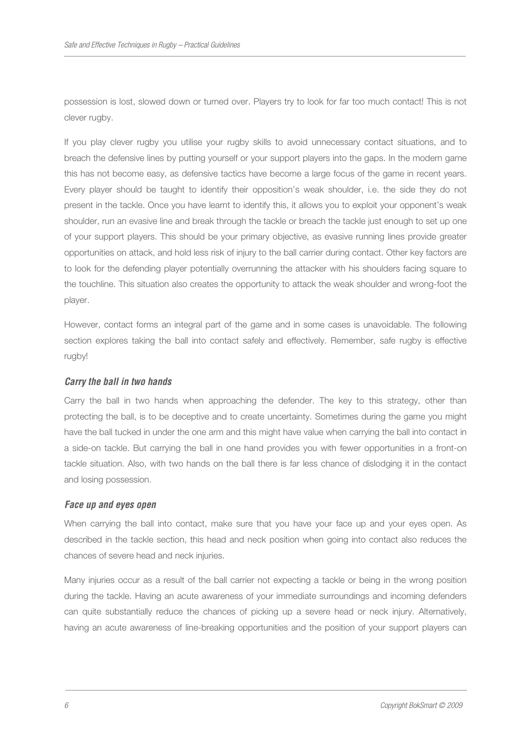possession is lost, slowed down or turned over. Players try to look for far too much contact! This is not clever rugby.

If you play clever rugby you utilise your rugby skills to avoid unnecessary contact situations, and to breach the defensive lines by putting yourself or your support players into the gaps. In the modern game this has not become easy, as defensive tactics have become a large focus of the game in recent years. Every player should be taught to identify their opposition's weak shoulder, i.e. the side they do not present in the tackle. Once you have learnt to identify this, it allows you to exploit your opponent's weak shoulder, run an evasive line and break through the tackle or breach the tackle just enough to set up one of your support players. This should be your primary objective, as evasive running lines provide greater opportunities on attack, and hold less risk of injury to the ball carrier during contact. Other key factors are to look for the defending player potentially overrunning the attacker with his shoulders facing square to the touchline. This situation also creates the opportunity to attack the weak shoulder and wrong-foot the player.

However, contact forms an integral part of the game and in some cases is unavoidable. The following section explores taking the ball into contact safely and effectively. Remember, safe rugby is effective rugby!

#### **Carry the ball in two hands**

Carry the ball in two hands when approaching the defender. The key to this strategy, other than protecting the ball, is to be deceptive and to create uncertainty. Sometimes during the game you might have the ball tucked in under the one arm and this might have value when carrying the ball into contact in a side-on tackle. But carrying the ball in one hand provides you with fewer opportunities in a front-on tackle situation. Also, with two hands on the ball there is far less chance of dislodging it in the contact and losing possession.

#### **Face up and eyes open**

When carrying the ball into contact, make sure that you have your face up and your eyes open. As described in the tackle section, this head and neck position when going into contact also reduces the chances of severe head and neck injuries.

Many injuries occur as a result of the ball carrier not expecting a tackle or being in the wrong position during the tackle. Having an acute awareness of your immediate surroundings and incoming defenders can quite substantially reduce the chances of picking up a severe head or neck injury. Alternatively, having an acute awareness of line-breaking opportunities and the position of your support players can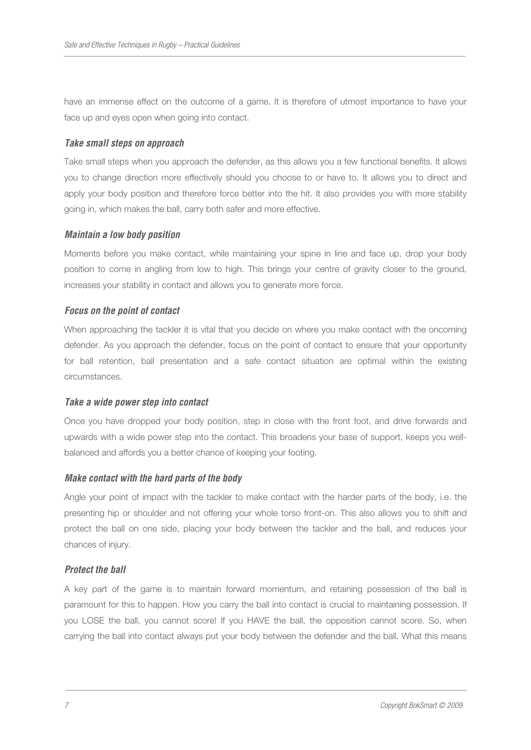have an immense effect on the outcome of a game. It is therefore of utmost importance to have your face up and eyes open when going into contact.

#### **Take small steps on approach**

Take small steps when you approach the defender, as this allows you a few functional benefits. It allows you to change direction more effectively should you choose to or have to. It allows you to direct and apply your body position and therefore force better into the hit. It also provides you with more stability going in, which makes the ball, carry both safer and more effective.

#### **Maintain a low body position**

Moments before you make contact, while maintaining your spine in line and face up, drop your body position to come in angling from low to high. This brings your centre of gravity closer to the ground, increases your stability in contact and allows you to generate more force.

#### **Focus on the point of contact**

When approaching the tackler it is vital that you decide on where you make contact with the oncoming defender. As you approach the defender, focus on the point of contact to ensure that your opportunity for ball retention, ball presentation and a safe contact situation are optimal within the existing circumstances.

#### **Take a wide power step into contact**

Once you have dropped your body position, step in close with the front foot, and drive forwards and upwards with a wide power step into the contact. This broadens your base of support, keeps you wellbalanced and affords you a better chance of keeping your footing.

#### **Make contact with the hard parts of the body**

Angle your point of impact with the tackler to make contact with the harder parts of the body, i.e. the presenting hip or shoulder and not offering your whole torso front-on. This also allows you to shift and protect the ball on one side, placing your body between the tackler and the ball, and reduces your chances of injury.

#### **Protect the ball**

A key part of the game is to maintain forward momentum, and retaining possession of the ball is paramount for this to happen. How you carry the ball into contact is crucial to maintaining possession. If you LOSE the ball, you cannot score! If you HAVE the ball, the opposition cannot score. So, when carrying the ball into contact always put your body between the defender and the ball. What this means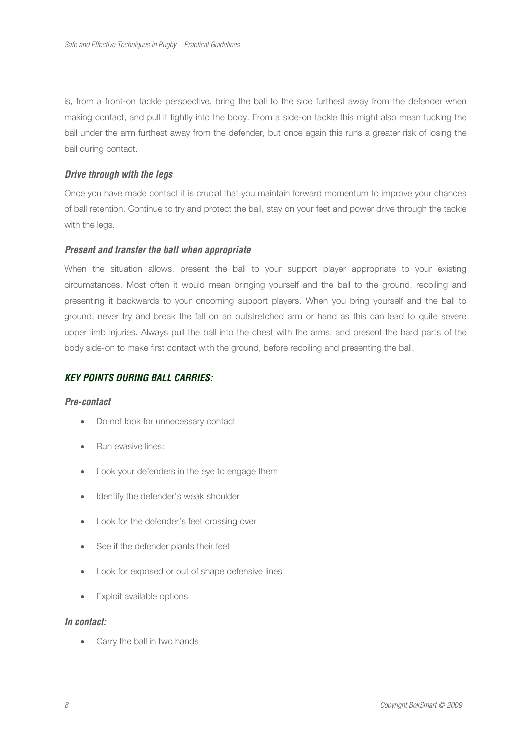is, from a front-on tackle perspective, bring the ball to the side furthest away from the defender when making contact, and pull it tightly into the body. From a side-on tackle this might also mean tucking the ball under the arm furthest away from the defender, but once again this runs a greater risk of losing the ball during contact.

# **Drive through with the legs**

Once you have made contact it is crucial that you maintain forward momentum to improve your chances of ball retention. Continue to try and protect the ball, stay on your feet and power drive through the tackle with the legs.

# **Present and transfer the ball when appropriate**

When the situation allows, present the ball to your support player appropriate to your existing circumstances. Most often it would mean bringing yourself and the ball to the ground, recoiling and presenting it backwards to your oncoming support players. When you bring yourself and the ball to ground, never try and break the fall on an outstretched arm or hand as this can lead to quite severe upper limb injuries. Always pull the ball into the chest with the arms, and present the hard parts of the body side-on to make first contact with the ground, before recoiling and presenting the ball.

# **KEY POINTS DURING BALL CARRIES:**

#### **Pre-contact**

- Do not look for unnecessary contact
- Run evasive lines:
- Look your defenders in the eye to engage them
- Identify the defender's weak shoulder
- Look for the defender's feet crossing over
- See if the defender plants their feet
- Look for exposed or out of shape defensive lines
- Exploit available options

#### **In contact:**

Carry the ball in two hands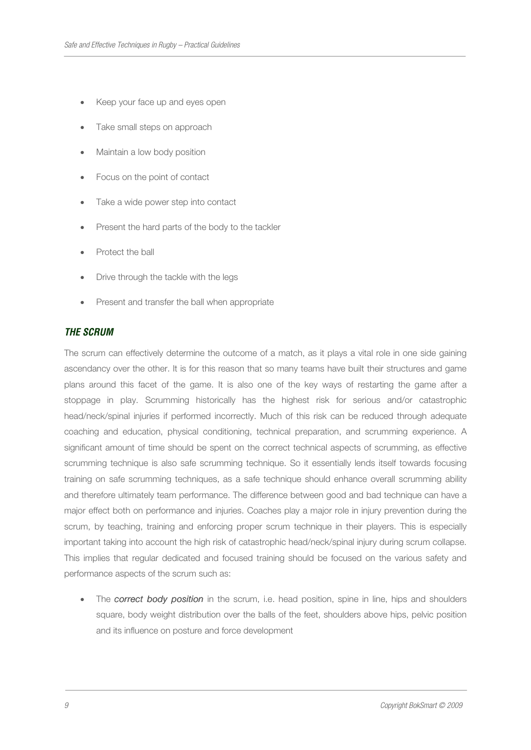- Keep your face up and eyes open
- Take small steps on approach
- Maintain a low body position
- Focus on the point of contact
- Take a wide power step into contact
- Present the hard parts of the body to the tackler
- Protect the ball
- Drive through the tackle with the legs
- Present and transfer the ball when appropriate

#### **THE SCRUM**

The scrum can effectively determine the outcome of a match, as it plays a vital role in one side gaining ascendancy over the other. It is for this reason that so many teams have built their structures and game plans around this facet of the game. It is also one of the key ways of restarting the game after a stoppage in play. Scrumming historically has the highest risk for serious and/or catastrophic head/neck/spinal injuries if performed incorrectly. Much of this risk can be reduced through adequate coaching and education, physical conditioning, technical preparation, and scrumming experience. A significant amount of time should be spent on the correct technical aspects of scrumming, as effective scrumming technique is also safe scrumming technique. So it essentially lends itself towards focusing training on safe scrumming techniques, as a safe technique should enhance overall scrumming ability and therefore ultimately team performance. The difference between good and bad technique can have a major effect both on performance and injuries. Coaches play a major role in injury prevention during the scrum, by teaching, training and enforcing proper scrum technique in their players. This is especially important taking into account the high risk of catastrophic head/neck/spinal injury during scrum collapse. This implies that regular dedicated and focused training should be focused on the various safety and performance aspects of the scrum such as:

The correct body position in the scrum, i.e. head position, spine in line, hips and shoulders square, body weight distribution over the balls of the feet, shoulders above hips, pelvic position and its influence on posture and force development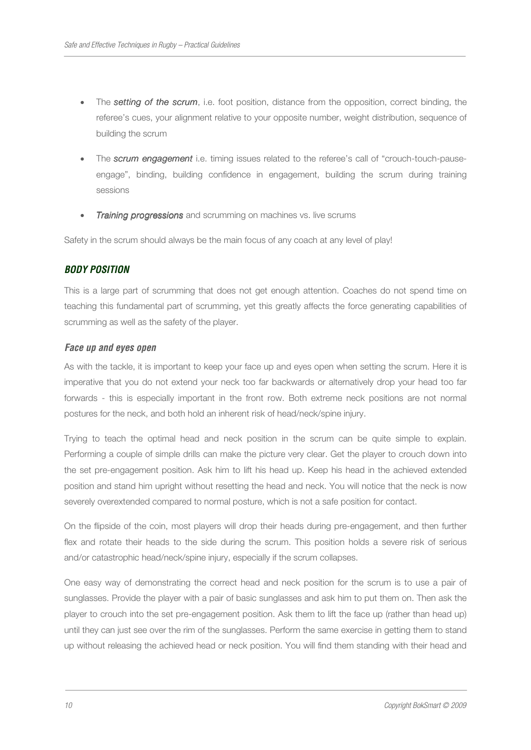- The **setting of the scrum**, i.e. foot position, distance from the opposition, correct binding, the referee's cues, your alignment relative to your opposite number, weight distribution, sequence of building the scrum
- The **scrum engagement** i.e. timing issues related to the referee's call of "crouch-touch-pauseengage", binding, building confidence in engagement, building the scrum during training sessions
- **Training progressions** and scrumming on machines vs. live scrums

Safety in the scrum should always be the main focus of any coach at any level of play!

# **BODY POSITION**

This is a large part of scrumming that does not get enough attention. Coaches do not spend time on teaching this fundamental part of scrumming, yet this greatly affects the force generating capabilities of scrumming as well as the safety of the player.

## **Face up and eyes open**

As with the tackle, it is important to keep your face up and eyes open when setting the scrum. Here it is imperative that you do not extend your neck too far backwards or alternatively drop your head too far forwards - this is especially important in the front row. Both extreme neck positions are not normal postures for the neck, and both hold an inherent risk of head/neck/spine injury.

Trying to teach the optimal head and neck position in the scrum can be quite simple to explain. Performing a couple of simple drills can make the picture very clear. Get the player to crouch down into the set pre-engagement position. Ask him to lift his head up. Keep his head in the achieved extended position and stand him upright without resetting the head and neck. You will notice that the neck is now severely overextended compared to normal posture, which is not a safe position for contact.

On the flipside of the coin, most players will drop their heads during pre-engagement, and then further flex and rotate their heads to the side during the scrum. This position holds a severe risk of serious and/or catastrophic head/neck/spine injury, especially if the scrum collapses.

One easy way of demonstrating the correct head and neck position for the scrum is to use a pair of sunglasses. Provide the player with a pair of basic sunglasses and ask him to put them on. Then ask the player to crouch into the set pre-engagement position. Ask them to lift the face up (rather than head up) until they can just see over the rim of the sunglasses. Perform the same exercise in getting them to stand up without releasing the achieved head or neck position. You will find them standing with their head and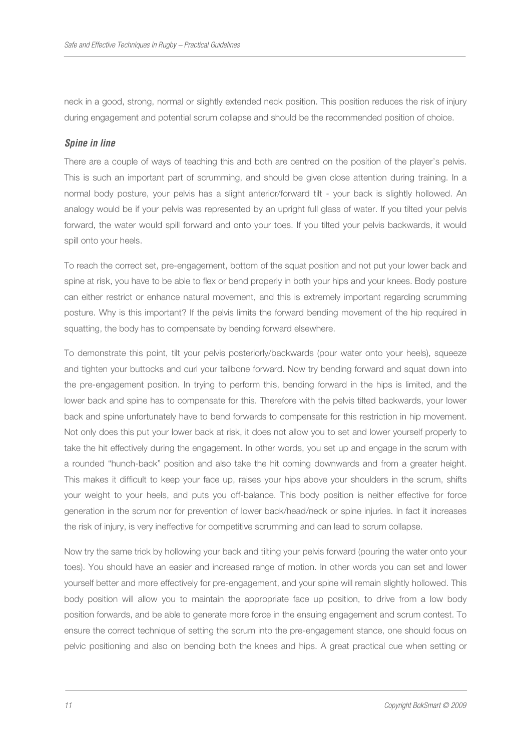neck in a good, strong, normal or slightly extended neck position. This position reduces the risk of injury during engagement and potential scrum collapse and should be the recommended position of choice.

# **Spine in line**

There are a couple of ways of teaching this and both are centred on the position of the player's pelvis. This is such an important part of scrumming, and should be given close attention during training. In a normal body posture, your pelvis has a slight anterior/forward tilt - your back is slightly hollowed. An analogy would be if your pelvis was represented by an upright full glass of water. If you tilted your pelvis forward, the water would spill forward and onto your toes. If you tilted your pelvis backwards, it would spill onto your heels.

To reach the correct set, pre-engagement, bottom of the squat position and not put your lower back and spine at risk, you have to be able to flex or bend properly in both your hips and your knees. Body posture can either restrict or enhance natural movement, and this is extremely important regarding scrumming posture. Why is this important? If the pelvis limits the forward bending movement of the hip required in squatting, the body has to compensate by bending forward elsewhere.

To demonstrate this point, tilt your pelvis posteriorly/backwards (pour water onto your heels), squeeze and tighten your buttocks and curl your tailbone forward. Now try bending forward and squat down into the pre-engagement position. In trying to perform this, bending forward in the hips is limited, and the lower back and spine has to compensate for this. Therefore with the pelvis tilted backwards, your lower back and spine unfortunately have to bend forwards to compensate for this restriction in hip movement. Not only does this put your lower back at risk, it does not allow you to set and lower yourself properly to take the hit effectively during the engagement. In other words, you set up and engage in the scrum with a rounded "hunch-back" position and also take the hit coming downwards and from a greater height. This makes it difficult to keep your face up, raises your hips above your shoulders in the scrum, shifts your weight to your heels, and puts you off-balance. This body position is neither effective for force generation in the scrum nor for prevention of lower back/head/neck or spine injuries. In fact it increases the risk of injury, is very ineffective for competitive scrumming and can lead to scrum collapse.

Now try the same trick by hollowing your back and tilting your pelvis forward (pouring the water onto your toes). You should have an easier and increased range of motion. In other words you can set and lower yourself better and more effectively for pre-engagement, and your spine will remain slightly hollowed. This body position will allow you to maintain the appropriate face up position, to drive from a low body position forwards, and be able to generate more force in the ensuing engagement and scrum contest. To ensure the correct technique of setting the scrum into the pre-engagement stance, one should focus on pelvic positioning and also on bending both the knees and hips. A great practical cue when setting or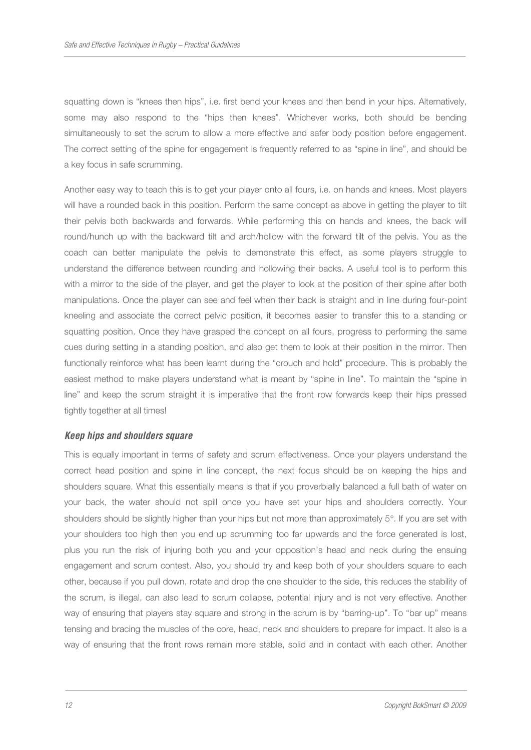squatting down is "knees then hips", i.e. first bend your knees and then bend in your hips. Alternatively, some may also respond to the "hips then knees". Whichever works, both should be bending simultaneously to set the scrum to allow a more effective and safer body position before engagement. The correct setting of the spine for engagement is frequently referred to as "spine in line", and should be a key focus in safe scrumming.

Another easy way to teach this is to get your player onto all fours, i.e. on hands and knees. Most players will have a rounded back in this position. Perform the same concept as above in getting the player to tilt their pelvis both backwards and forwards. While performing this on hands and knees, the back will round/hunch up with the backward tilt and arch/hollow with the forward tilt of the pelvis. You as the coach can better manipulate the pelvis to demonstrate this effect, as some players struggle to understand the difference between rounding and hollowing their backs. A useful tool is to perform this with a mirror to the side of the player, and get the player to look at the position of their spine after both manipulations. Once the player can see and feel when their back is straight and in line during four-point kneeling and associate the correct pelvic position, it becomes easier to transfer this to a standing or squatting position. Once they have grasped the concept on all fours, progress to performing the same cues during setting in a standing position, and also get them to look at their position in the mirror. Then functionally reinforce what has been learnt during the "crouch and hold" procedure. This is probably the easiest method to make players understand what is meant by "spine in line". To maintain the "spine in line" and keep the scrum straight it is imperative that the front row forwards keep their hips pressed tightly together at all times!

## **Keep hips and shoulders square**

This is equally important in terms of safety and scrum effectiveness. Once your players understand the correct head position and spine in line concept, the next focus should be on keeping the hips and shoulders square. What this essentially means is that if you proverbially balanced a full bath of water on your back, the water should not spill once you have set your hips and shoulders correctly. Your shoulders should be slightly higher than your hips but not more than approximately 5°. If you are set with your shoulders too high then you end up scrumming too far upwards and the force generated is lost, plus you run the risk of injuring both you and your opposition's head and neck during the ensuing engagement and scrum contest. Also, you should try and keep both of your shoulders square to each other, because if you pull down, rotate and drop the one shoulder to the side, this reduces the stability of the scrum, is illegal, can also lead to scrum collapse, potential injury and is not very effective. Another way of ensuring that players stay square and strong in the scrum is by "barring-up". To "bar up" means tensing and bracing the muscles of the core, head, neck and shoulders to prepare for impact. It also is a way of ensuring that the front rows remain more stable, solid and in contact with each other. Another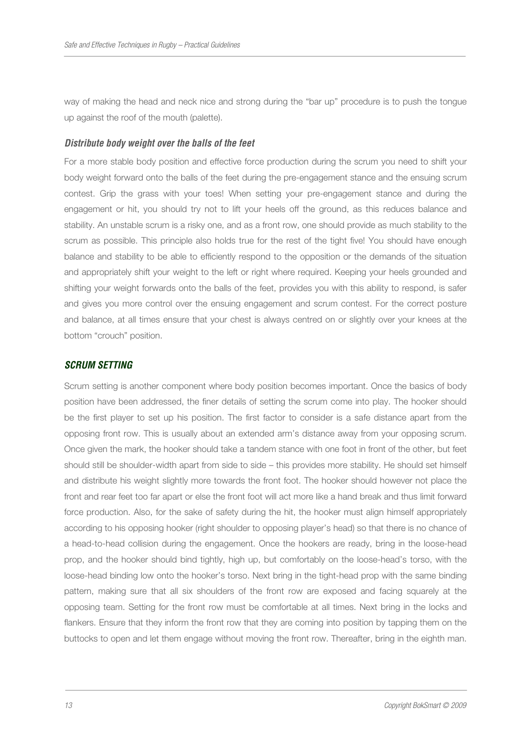way of making the head and neck nice and strong during the "bar up" procedure is to push the tongue up against the roof of the mouth (palette).

## **Distribute body weight over the balls of the feet**

For a more stable body position and effective force production during the scrum you need to shift your body weight forward onto the balls of the feet during the pre-engagement stance and the ensuing scrum contest. Grip the grass with your toes! When setting your pre-engagement stance and during the engagement or hit, you should try not to lift your heels off the ground, as this reduces balance and stability. An unstable scrum is a risky one, and as a front row, one should provide as much stability to the scrum as possible. This principle also holds true for the rest of the tight five! You should have enough balance and stability to be able to efficiently respond to the opposition or the demands of the situation and appropriately shift your weight to the left or right where required. Keeping your heels grounded and shifting your weight forwards onto the balls of the feet, provides you with this ability to respond, is safer and gives you more control over the ensuing engagement and scrum contest. For the correct posture and balance, at all times ensure that your chest is always centred on or slightly over your knees at the bottom "crouch" position.

# **SCRUM SETTING**

Scrum setting is another component where body position becomes important. Once the basics of body position have been addressed, the finer details of setting the scrum come into play. The hooker should be the first player to set up his position. The first factor to consider is a safe distance apart from the opposing front row. This is usually about an extended arm's distance away from your opposing scrum. Once given the mark, the hooker should take a tandem stance with one foot in front of the other, but feet should still be shoulder-width apart from side to side – this provides more stability. He should set himself and distribute his weight slightly more towards the front foot. The hooker should however not place the front and rear feet too far apart or else the front foot will act more like a hand break and thus limit forward force production. Also, for the sake of safety during the hit, the hooker must align himself appropriately according to his opposing hooker (right shoulder to opposing player's head) so that there is no chance of a head-to-head collision during the engagement. Once the hookers are ready, bring in the loose-head prop, and the hooker should bind tightly, high up, but comfortably on the loose-head's torso, with the loose-head binding low onto the hooker's torso. Next bring in the tight-head prop with the same binding pattern, making sure that all six shoulders of the front row are exposed and facing squarely at the opposing team. Setting for the front row must be comfortable at all times. Next bring in the locks and flankers. Ensure that they inform the front row that they are coming into position by tapping them on the buttocks to open and let them engage without moving the front row. Thereafter, bring in the eighth man.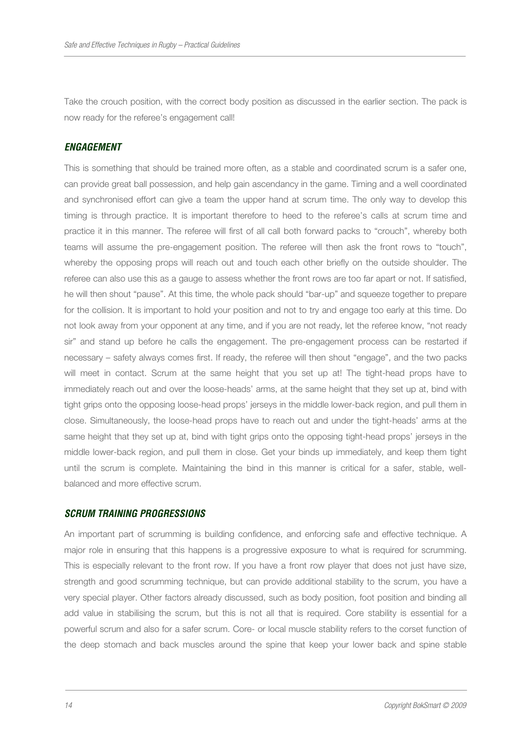Take the crouch position, with the correct body position as discussed in the earlier section. The pack is now ready for the referee's engagement call!

#### **ENGAGEMENT**

This is something that should be trained more often, as a stable and coordinated scrum is a safer one, can provide great ball possession, and help gain ascendancy in the game. Timing and a well coordinated and synchronised effort can give a team the upper hand at scrum time. The only way to develop this timing is through practice. It is important therefore to heed to the referee's calls at scrum time and practice it in this manner. The referee will first of all call both forward packs to "crouch", whereby both teams will assume the pre-engagement position. The referee will then ask the front rows to "touch", whereby the opposing props will reach out and touch each other briefly on the outside shoulder. The referee can also use this as a gauge to assess whether the front rows are too far apart or not. If satisfied, he will then shout "pause". At this time, the whole pack should "bar-up" and squeeze together to prepare for the collision. It is important to hold your position and not to try and engage too early at this time. Do not look away from your opponent at any time, and if you are not ready, let the referee know, "not ready sir" and stand up before he calls the engagement. The pre-engagement process can be restarted if necessary – safety always comes first. If ready, the referee will then shout "engage", and the two packs will meet in contact. Scrum at the same height that you set up at! The tight-head props have to immediately reach out and over the loose-heads' arms, at the same height that they set up at, bind with tight grips onto the opposing loose-head props' jerseys in the middle lower-back region, and pull them in close. Simultaneously, the loose-head props have to reach out and under the tight-heads' arms at the same height that they set up at, bind with tight grips onto the opposing tight-head props' jerseys in the middle lower-back region, and pull them in close. Get your binds up immediately, and keep them tight until the scrum is complete. Maintaining the bind in this manner is critical for a safer, stable, wellbalanced and more effective scrum.

## **SCRUM TRAINING PROGRESSIONS**

An important part of scrumming is building confidence, and enforcing safe and effective technique. A major role in ensuring that this happens is a progressive exposure to what is required for scrumming. This is especially relevant to the front row. If you have a front row player that does not just have size, strength and good scrumming technique, but can provide additional stability to the scrum, you have a very special player. Other factors already discussed, such as body position, foot position and binding all add value in stabilising the scrum, but this is not all that is required. Core stability is essential for a powerful scrum and also for a safer scrum. Core- or local muscle stability refers to the corset function of the deep stomach and back muscles around the spine that keep your lower back and spine stable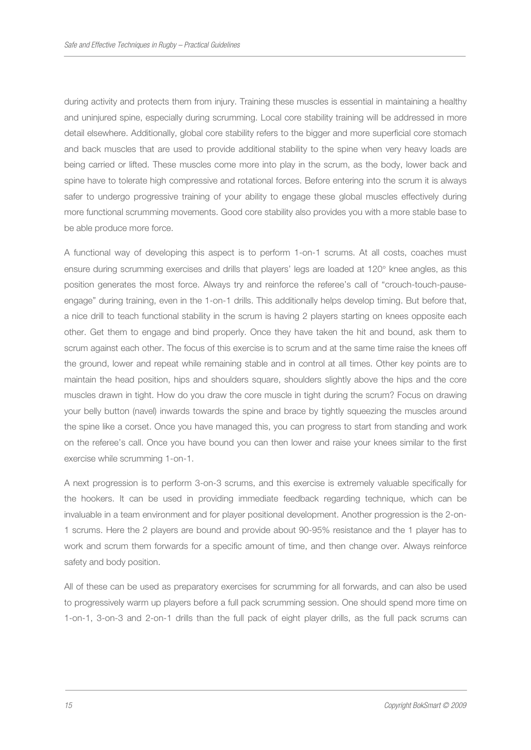during activity and protects them from injury. Training these muscles is essential in maintaining a healthy and uninjured spine, especially during scrumming. Local core stability training will be addressed in more detail elsewhere. Additionally, global core stability refers to the bigger and more superficial core stomach and back muscles that are used to provide additional stability to the spine when very heavy loads are being carried or lifted. These muscles come more into play in the scrum, as the body, lower back and spine have to tolerate high compressive and rotational forces. Before entering into the scrum it is always safer to undergo progressive training of your ability to engage these global muscles effectively during more functional scrumming movements. Good core stability also provides you with a more stable base to be able produce more force.

A functional way of developing this aspect is to perform 1-on-1 scrums. At all costs, coaches must ensure during scrumming exercises and drills that players' legs are loaded at 120° knee angles, as this position generates the most force. Always try and reinforce the referee's call of "crouch-touch-pauseengage" during training, even in the 1-on-1 drills. This additionally helps develop timing. But before that, a nice drill to teach functional stability in the scrum is having 2 players starting on knees opposite each other. Get them to engage and bind properly. Once they have taken the hit and bound, ask them to scrum against each other. The focus of this exercise is to scrum and at the same time raise the knees off the ground, lower and repeat while remaining stable and in control at all times. Other key points are to maintain the head position, hips and shoulders square, shoulders slightly above the hips and the core muscles drawn in tight. How do you draw the core muscle in tight during the scrum? Focus on drawing your belly button (navel) inwards towards the spine and brace by tightly squeezing the muscles around the spine like a corset. Once you have managed this, you can progress to start from standing and work on the referee's call. Once you have bound you can then lower and raise your knees similar to the first exercise while scrumming 1-on-1.

A next progression is to perform 3-on-3 scrums, and this exercise is extremely valuable specifically for the hookers. It can be used in providing immediate feedback regarding technique, which can be invaluable in a team environment and for player positional development. Another progression is the 2-on-1 scrums. Here the 2 players are bound and provide about 90-95% resistance and the 1 player has to work and scrum them forwards for a specific amount of time, and then change over. Always reinforce safety and body position.

All of these can be used as preparatory exercises for scrumming for all forwards, and can also be used to progressively warm up players before a full pack scrumming session. One should spend more time on 1-on-1, 3-on-3 and 2-on-1 drills than the full pack of eight player drills, as the full pack scrums can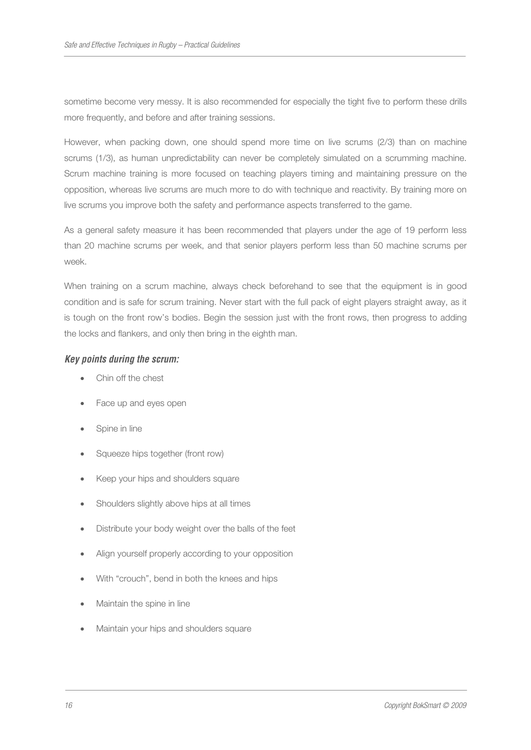sometime become very messy. It is also recommended for especially the tight five to perform these drills more frequently, and before and after training sessions.

However, when packing down, one should spend more time on live scrums (2/3) than on machine scrums (1/3), as human unpredictability can never be completely simulated on a scrumming machine. Scrum machine training is more focused on teaching players timing and maintaining pressure on the opposition, whereas live scrums are much more to do with technique and reactivity. By training more on live scrums you improve both the safety and performance aspects transferred to the game.

As a general safety measure it has been recommended that players under the age of 19 perform less than 20 machine scrums per week, and that senior players perform less than 50 machine scrums per week.

When training on a scrum machine, always check beforehand to see that the equipment is in good condition and is safe for scrum training. Never start with the full pack of eight players straight away, as it is tough on the front row's bodies. Begin the session just with the front rows, then progress to adding the locks and flankers, and only then bring in the eighth man.

## **Key points during the scrum:**

- Chin off the chest
- Face up and eyes open
- Spine in line
- Squeeze hips together (front row)
- Keep your hips and shoulders square
- Shoulders slightly above hips at all times
- Distribute your body weight over the balls of the feet
- Align yourself properly according to your opposition
- With "crouch", bend in both the knees and hips
- Maintain the spine in line
- Maintain your hips and shoulders square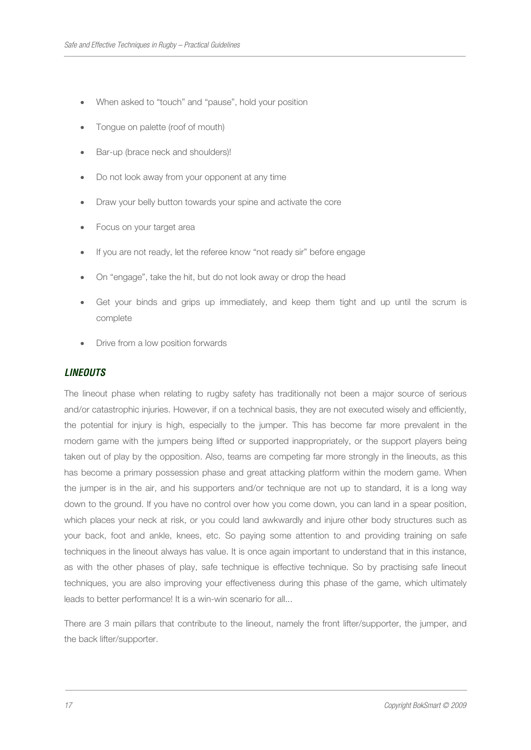- When asked to "touch" and "pause", hold your position
- Tongue on palette (roof of mouth)
- Bar-up (brace neck and shoulders)!
- Do not look away from your opponent at any time
- Draw your belly button towards your spine and activate the core
- Focus on your target area
- If you are not ready, let the referee know "not ready sir" before engage
- On "engage", take the hit, but do not look away or drop the head
- Get your binds and grips up immediately, and keep them tight and up until the scrum is complete
- Drive from a low position forwards

## **LINEOUTS**

The lineout phase when relating to rugby safety has traditionally not been a major source of serious and/or catastrophic injuries. However, if on a technical basis, they are not executed wisely and efficiently, the potential for injury is high, especially to the jumper. This has become far more prevalent in the modern game with the jumpers being lifted or supported inappropriately, or the support players being taken out of play by the opposition. Also, teams are competing far more strongly in the lineouts, as this has become a primary possession phase and great attacking platform within the modern game. When the jumper is in the air, and his supporters and/or technique are not up to standard, it is a long way down to the ground. If you have no control over how you come down, you can land in a spear position, which places your neck at risk, or you could land awkwardly and injure other body structures such as your back, foot and ankle, knees, etc. So paying some attention to and providing training on safe techniques in the lineout always has value. It is once again important to understand that in this instance, as with the other phases of play, safe technique is effective technique. So by practising safe lineout techniques, you are also improving your effectiveness during this phase of the game, which ultimately leads to better performance! It is a win-win scenario for all...

There are 3 main pillars that contribute to the lineout, namely the front lifter/supporter, the jumper, and the back lifter/supporter.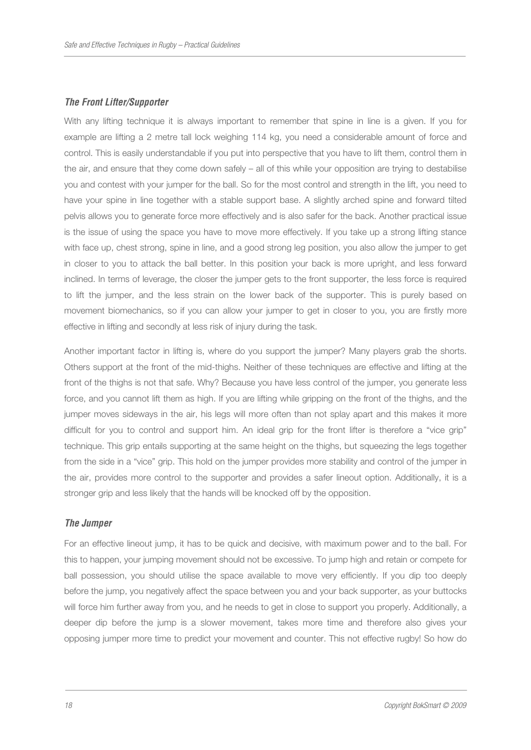## **The Front Lifter/Supporter**

With any lifting technique it is always important to remember that spine in line is a given. If you for example are lifting a 2 metre tall lock weighing 114 kg, you need a considerable amount of force and control. This is easily understandable if you put into perspective that you have to lift them, control them in the air, and ensure that they come down safely – all of this while your opposition are trying to destabilise you and contest with your jumper for the ball. So for the most control and strength in the lift, you need to have your spine in line together with a stable support base. A slightly arched spine and forward tilted pelvis allows you to generate force more effectively and is also safer for the back. Another practical issue is the issue of using the space you have to move more effectively. If you take up a strong lifting stance with face up, chest strong, spine in line, and a good strong leg position, you also allow the jumper to get in closer to you to attack the ball better. In this position your back is more upright, and less forward inclined. In terms of leverage, the closer the jumper gets to the front supporter, the less force is required to lift the jumper, and the less strain on the lower back of the supporter. This is purely based on movement biomechanics, so if you can allow your jumper to get in closer to you, you are firstly more effective in lifting and secondly at less risk of injury during the task.

Another important factor in lifting is, where do you support the jumper? Many players grab the shorts. Others support at the front of the mid-thighs. Neither of these techniques are effective and lifting at the front of the thighs is not that safe. Why? Because you have less control of the jumper, you generate less force, and you cannot lift them as high. If you are lifting while gripping on the front of the thighs, and the jumper moves sideways in the air, his legs will more often than not splay apart and this makes it more difficult for you to control and support him. An ideal grip for the front lifter is therefore a "vice grip" technique. This grip entails supporting at the same height on the thighs, but squeezing the legs together from the side in a "vice" grip. This hold on the jumper provides more stability and control of the jumper in the air, provides more control to the supporter and provides a safer lineout option. Additionally, it is a stronger grip and less likely that the hands will be knocked off by the opposition.

#### **The Jumper**

For an effective lineout jump, it has to be quick and decisive, with maximum power and to the ball. For this to happen, your jumping movement should not be excessive. To jump high and retain or compete for ball possession, you should utilise the space available to move very efficiently. If you dip too deeply before the jump, you negatively affect the space between you and your back supporter, as your buttocks will force him further away from you, and he needs to get in close to support you properly. Additionally, a deeper dip before the jump is a slower movement, takes more time and therefore also gives your opposing jumper more time to predict your movement and counter. This not effective rugby! So how do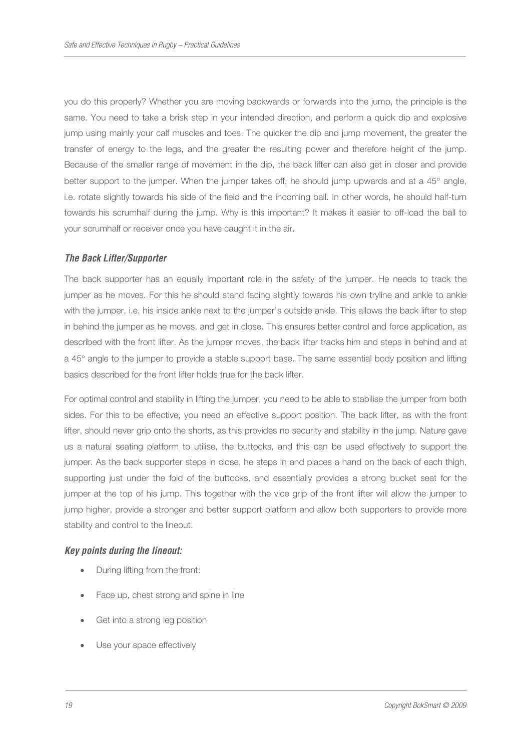you do this properly? Whether you are moving backwards or forwards into the jump, the principle is the same. You need to take a brisk step in your intended direction, and perform a quick dip and explosive jump using mainly your calf muscles and toes. The quicker the dip and jump movement, the greater the transfer of energy to the legs, and the greater the resulting power and therefore height of the jump. Because of the smaller range of movement in the dip, the back lifter can also get in closer and provide better support to the jumper. When the jumper takes off, he should jump upwards and at a 45° angle, i.e. rotate slightly towards his side of the field and the incoming ball. In other words, he should half-turn towards his scrumhalf during the jump. Why is this important? It makes it easier to off-load the ball to your scrumhalf or receiver once you have caught it in the air.

## **The Back Lifter/Supporter**

The back supporter has an equally important role in the safety of the jumper. He needs to track the jumper as he moves. For this he should stand facing slightly towards his own tryline and ankle to ankle with the jumper, i.e. his inside ankle next to the jumper's outside ankle. This allows the back lifter to step in behind the jumper as he moves, and get in close. This ensures better control and force application, as described with the front lifter. As the jumper moves, the back lifter tracks him and steps in behind and at a 45° angle to the jumper to provide a stable support base. The same essential body position and lifting basics described for the front lifter holds true for the back lifter.

For optimal control and stability in lifting the jumper, you need to be able to stabilise the jumper from both sides. For this to be effective, you need an effective support position. The back lifter, as with the front lifter, should never grip onto the shorts, as this provides no security and stability in the jump. Nature gave us a natural seating platform to utilise, the buttocks, and this can be used effectively to support the jumper. As the back supporter steps in close, he steps in and places a hand on the back of each thigh, supporting just under the fold of the buttocks, and essentially provides a strong bucket seat for the jumper at the top of his jump. This together with the vice grip of the front lifter will allow the jumper to jump higher, provide a stronger and better support platform and allow both supporters to provide more stability and control to the lineout.

#### **Key points during the lineout:**

- During lifting from the front:
- Face up, chest strong and spine in line
- Get into a strong leg position
- Use your space effectively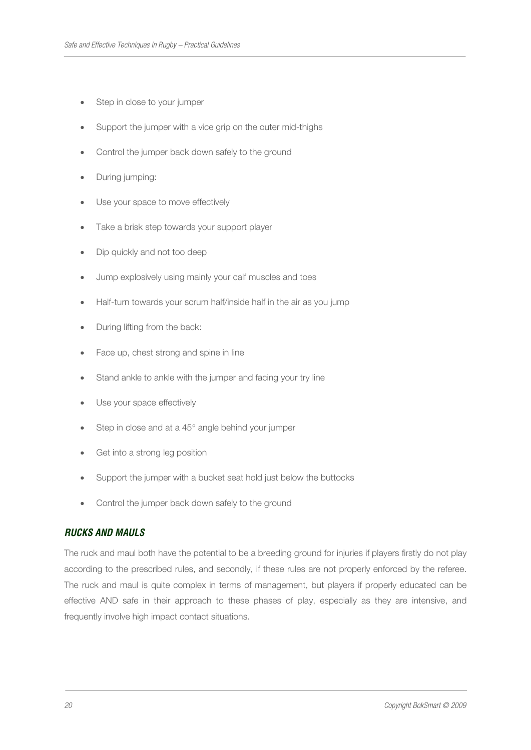- Step in close to your jumper
- Support the jumper with a vice grip on the outer mid-thighs
- Control the jumper back down safely to the ground
- During jumping:
- Use your space to move effectively
- Take a brisk step towards your support player
- Dip quickly and not too deep
- Jump explosively using mainly your calf muscles and toes
- Half-turn towards your scrum half/inside half in the air as you jump
- During lifting from the back:
- Face up, chest strong and spine in line
- Stand ankle to ankle with the jumper and facing your try line
- Use your space effectively
- Step in close and at a 45° angle behind your jumper
- Get into a strong leg position
- Support the jumper with a bucket seat hold just below the buttocks
- Control the jumper back down safely to the ground

# **RUCKS AND MAULS**

The ruck and maul both have the potential to be a breeding ground for injuries if players firstly do not play according to the prescribed rules, and secondly, if these rules are not properly enforced by the referee. The ruck and maul is quite complex in terms of management, but players if properly educated can be effective AND safe in their approach to these phases of play, especially as they are intensive, and frequently involve high impact contact situations.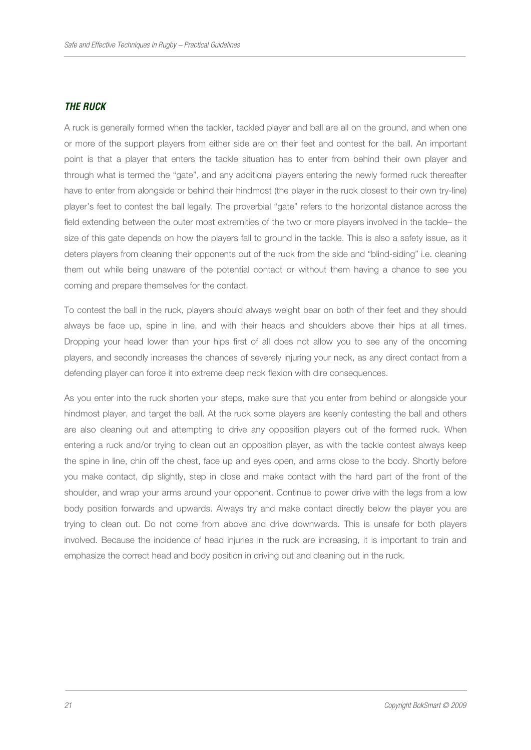# **THE RUCK**

A ruck is generally formed when the tackler, tackled player and ball are all on the ground, and when one or more of the support players from either side are on their feet and contest for the ball. An important point is that a player that enters the tackle situation has to enter from behind their own player and through what is termed the "gate", and any additional players entering the newly formed ruck thereafter have to enter from alongside or behind their hindmost (the player in the ruck closest to their own try-line) player's feet to contest the ball legally. The proverbial "gate" refers to the horizontal distance across the field extending between the outer most extremities of the two or more players involved in the tackle– the size of this gate depends on how the players fall to ground in the tackle. This is also a safety issue, as it deters players from cleaning their opponents out of the ruck from the side and "blind-siding" i.e. cleaning them out while being unaware of the potential contact or without them having a chance to see you coming and prepare themselves for the contact.

To contest the ball in the ruck, players should always weight bear on both of their feet and they should always be face up, spine in line, and with their heads and shoulders above their hips at all times. Dropping your head lower than your hips first of all does not allow you to see any of the oncoming players, and secondly increases the chances of severely injuring your neck, as any direct contact from a defending player can force it into extreme deep neck flexion with dire consequences.

As you enter into the ruck shorten your steps, make sure that you enter from behind or alongside your hindmost player, and target the ball. At the ruck some players are keenly contesting the ball and others are also cleaning out and attempting to drive any opposition players out of the formed ruck. When entering a ruck and/or trying to clean out an opposition player, as with the tackle contest always keep the spine in line, chin off the chest, face up and eyes open, and arms close to the body. Shortly before you make contact, dip slightly, step in close and make contact with the hard part of the front of the shoulder, and wrap your arms around your opponent. Continue to power drive with the legs from a low body position forwards and upwards. Always try and make contact directly below the player you are trying to clean out. Do not come from above and drive downwards. This is unsafe for both players involved. Because the incidence of head injuries in the ruck are increasing, it is important to train and emphasize the correct head and body position in driving out and cleaning out in the ruck.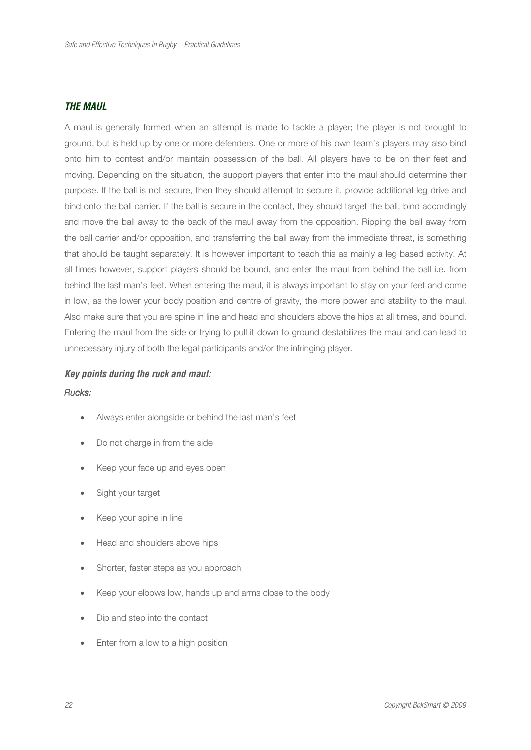## **THE MAUL**

A maul is generally formed when an attempt is made to tackle a player; the player is not brought to ground, but is held up by one or more defenders. One or more of his own team's players may also bind onto him to contest and/or maintain possession of the ball. All players have to be on their feet and moving. Depending on the situation, the support players that enter into the maul should determine their purpose. If the ball is not secure, then they should attempt to secure it, provide additional leg drive and bind onto the ball carrier. If the ball is secure in the contact, they should target the ball, bind accordingly and move the ball away to the back of the maul away from the opposition. Ripping the ball away from the ball carrier and/or opposition, and transferring the ball away from the immediate threat, is something that should be taught separately. It is however important to teach this as mainly a leg based activity. At all times however, support players should be bound, and enter the maul from behind the ball i.e. from behind the last man's feet. When entering the maul, it is always important to stay on your feet and come in low, as the lower your body position and centre of gravity, the more power and stability to the maul. Also make sure that you are spine in line and head and shoulders above the hips at all times, and bound. Entering the maul from the side or trying to pull it down to ground destabilizes the maul and can lead to unnecessary injury of both the legal participants and/or the infringing player.

## **Key points during the ruck and maul:**

#### Rucks:

- Always enter alongside or behind the last man's feet
- Do not charge in from the side
- Keep your face up and eyes open
- Sight your target
- Keep your spine in line
- Head and shoulders above hips
- Shorter, faster steps as you approach
- Keep your elbows low, hands up and arms close to the body
- Dip and step into the contact
- Enter from a low to a high position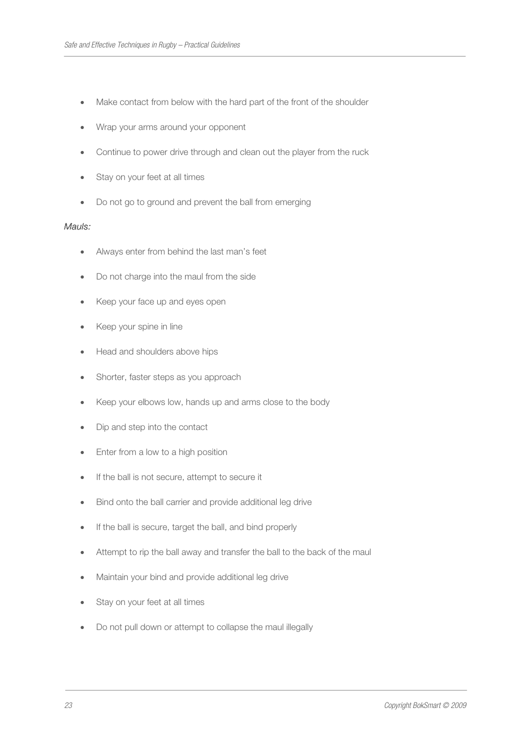- Make contact from below with the hard part of the front of the shoulder
- Wrap your arms around your opponent
- Continue to power drive through and clean out the player from the ruck
- Stay on your feet at all times
- Do not go to ground and prevent the ball from emerging

#### Mauls:

- Always enter from behind the last man's feet
- Do not charge into the maul from the side
- Keep your face up and eyes open
- Keep your spine in line
- Head and shoulders above hips
- Shorter, faster steps as you approach
- Keep your elbows low, hands up and arms close to the body
- Dip and step into the contact
- Enter from a low to a high position
- If the ball is not secure, attempt to secure it
- Bind onto the ball carrier and provide additional leg drive
- If the ball is secure, target the ball, and bind properly
- Attempt to rip the ball away and transfer the ball to the back of the maul
- Maintain your bind and provide additional leg drive
- Stay on your feet at all times
- Do not pull down or attempt to collapse the maul illegally